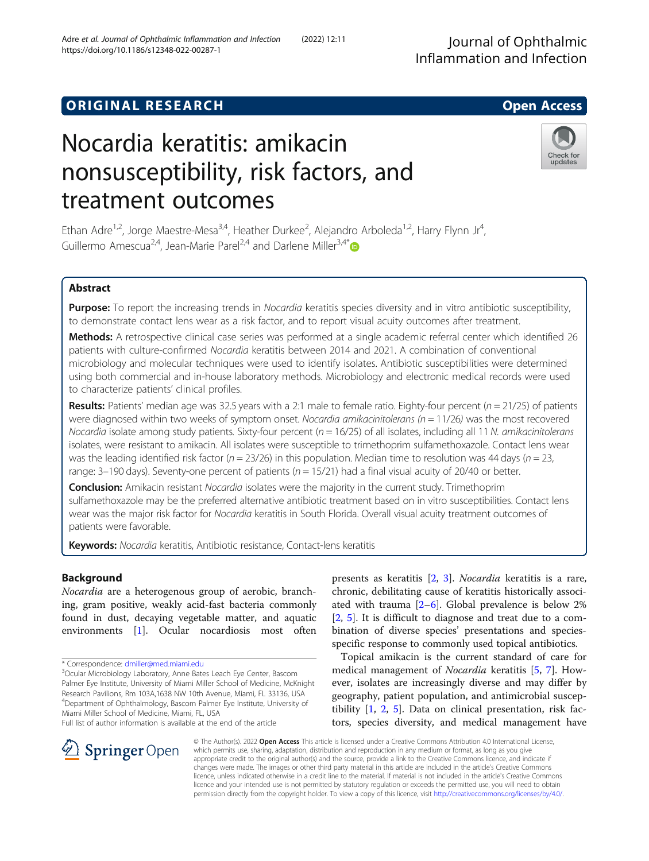## **ORIGINAL RESEARCH CONSUMING ACCESS**

# Nocardia keratitis: amikacin nonsusceptibility, risk factors, and treatment outcomes

Ethan Adre<sup>1,2</sup>, Jorge Maestre-Mesa<sup>3,4</sup>, Heather Durkee<sup>2</sup>, Alejandro Arboleda<sup>1,2</sup>, Harry Flynn Jr<sup>4</sup> , Guillermo Amescua<sup>2,4</sup>, Jean-Marie Parel<sup>2,4</sup> and Darlene Miller<sup>3,4[\\*](http://orcid.org/0000-0002-4756-2030)</sup>

## Abstract

Purpose: To report the increasing trends in Nocardia keratitis species diversity and in vitro antibiotic susceptibility, to demonstrate contact lens wear as a risk factor, and to report visual acuity outcomes after treatment.

Methods: A retrospective clinical case series was performed at a single academic referral center which identified 26 patients with culture-confirmed Nocardia keratitis between 2014 and 2021. A combination of conventional microbiology and molecular techniques were used to identify isolates. Antibiotic susceptibilities were determined using both commercial and in-house laboratory methods. Microbiology and electronic medical records were used to characterize patients' clinical profiles.

Results: Patients' median age was 32.5 years with a 2:1 male to female ratio. Eighty-four percent ( $n = 21/25$ ) of patients were diagnosed within two weeks of symptom onset. Nocardia amikacinitolerans ( $n = 11/26$ ) was the most recovered Nocardia isolate among study patients. Sixty-four percent ( $n = 16/25$ ) of all isolates, including all 11 N. amikacinitolerans isolates, were resistant to amikacin. All isolates were susceptible to trimethoprim sulfamethoxazole. Contact lens wear was the leading identified risk factor ( $n = 23/26$ ) in this population. Median time to resolution was 44 days ( $n = 23$ , range: 3–190 days). Seventy-one percent of patients ( $n = 15/21$ ) had a final visual acuity of 20/40 or better.

**Conclusion:** Amikacin resistant Nocardia isolates were the majority in the current study. Trimethoprim sulfamethoxazole may be the preferred alternative antibiotic treatment based on in vitro susceptibilities. Contact lens wear was the major risk factor for Nocardia keratitis in South Florida. Overall visual acuity treatment outcomes of patients were favorable.

Keywords: Nocardia keratitis, Antibiotic resistance, Contact-lens keratitis

## Background

Nocardia are a heterogenous group of aerobic, branching, gram positive, weakly acid-fast bacteria commonly found in dust, decaying vegetable matter, and aquatic environments [[1\]](#page-5-0). Ocular nocardiosis most often

 $\mathscr{L}$  Springer Open

<sup>3</sup>Ocular Microbiology Laboratory, Anne Bates Leach Eye Center, Bascom Palmer Eye Institute, University of Miami Miller School of Medicine, McKnight Research Pavilions, Rm 103A,1638 NW 10th Avenue, Miami, FL 33136, USA 4 Department of Ophthalmology, Bascom Palmer Eye Institute, University of Miami Miller School of Medicine, Miami, FL, USA

Full list of author information is available at the end of the article

presents as keratitis [[2](#page-5-0), [3\]](#page-5-0). Nocardia keratitis is a rare, chronic, debilitating cause of keratitis historically associated with trauma  $[2-6]$  $[2-6]$  $[2-6]$  $[2-6]$ . Global prevalence is below 2% [[2,](#page-5-0) [5](#page-5-0)]. It is difficult to diagnose and treat due to a combination of diverse species' presentations and speciesspecific response to commonly used topical antibiotics.

Topical amikacin is the current standard of care for medical management of Nocardia keratitis [\[5](#page-5-0), [7](#page-5-0)]. However, isolates are increasingly diverse and may differ by geography, patient population, and antimicrobial susceptibility [\[1](#page-5-0), [2,](#page-5-0) [5\]](#page-5-0). Data on clinical presentation, risk factors, species diversity, and medical management have

© The Author(s). 2022 Open Access This article is licensed under a Creative Commons Attribution 4.0 International License, which permits use, sharing, adaptation, distribution and reproduction in any medium or format, as long as you give appropriate credit to the original author(s) and the source, provide a link to the Creative Commons licence, and indicate if changes were made. The images or other third party material in this article are included in the article's Creative Commons licence, unless indicated otherwise in a credit line to the material. If material is not included in the article's Creative Commons licence and your intended use is not permitted by statutory regulation or exceeds the permitted use, you will need to obtain permission directly from the copyright holder. To view a copy of this licence, visit <http://creativecommons.org/licenses/by/4.0/>.





<sup>\*</sup> Correspondence: [dmiller@med.miami.edu](mailto:dmiller@med.miami.edu) <sup>3</sup>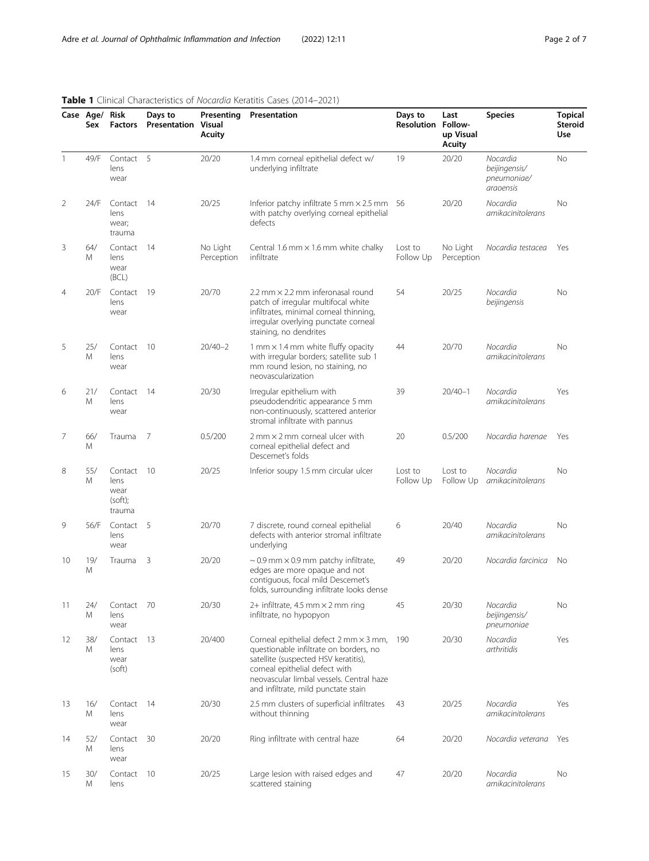|                | Case Age/ Risk<br>Sex | <b>Factors</b>                               | Days to<br><b>Presentation Visual</b> | Acuity                 | Cimical Characteristics of Hocaraia neratitis Cases (2011 2021)<br><b>Presenting Presentation</b>                                                                                                                                                      | Days to<br><b>Resolution Follow-</b> | Last<br>up Visual<br><b>Acuity</b> | <b>Species</b>                                        | <b>Topical</b><br><b>Steroid</b><br>Use |
|----------------|-----------------------|----------------------------------------------|---------------------------------------|------------------------|--------------------------------------------------------------------------------------------------------------------------------------------------------------------------------------------------------------------------------------------------------|--------------------------------------|------------------------------------|-------------------------------------------------------|-----------------------------------------|
| 1              | 49/F                  | Contact 5<br>lens<br>wear                    |                                       | 20/20                  | 1.4 mm corneal epithelial defect w/<br>underlying infiltrate                                                                                                                                                                                           | 19                                   | 20/20                              | Nocardia<br>beijingensis/<br>pneumoniae/<br>araoensis | <b>No</b>                               |
| 2              | 24/F                  | Contact<br>lens<br>wear;<br>trauma           | - 14                                  | 20/25                  | Inferior patchy infiltrate 5 mm $\times$ 2.5 mm 56<br>with patchy overlying corneal epithelial<br>defects                                                                                                                                              |                                      | 20/20                              | Nocardia<br>amikacinitolerans                         | No                                      |
| 3              | 64/<br>Μ              | Contact<br>lens<br>wear<br>(BCL)             | -14                                   | No Light<br>Perception | Central 1.6 mm $\times$ 1.6 mm white chalky<br>infiltrate                                                                                                                                                                                              | Lost to<br>Follow Up                 | No Light<br>Perception             | Nocardia testacea                                     | Yes                                     |
| $\overline{4}$ | 20/F                  | Contact<br>lens<br>wear                      | 19                                    | 20/70                  | 2.2 mm $\times$ 2.2 mm inferonasal round<br>patch of irregular multifocal white<br>infiltrates, minimal corneal thinning,<br>irregular overlying punctate corneal<br>staining, no dendrites                                                            | 54                                   | 20/25                              | Nocardia<br>beijingensis                              | <b>No</b>                               |
| 5              | 25/<br>M              | Contact<br>lens<br>wear                      | - 10                                  | $20/40 - 2$            | 1 mm × 1.4 mm white fluffy opacity<br>with irregular borders; satellite sub 1<br>mm round lesion, no staining, no<br>neovascularization                                                                                                                | 44                                   | 20/70                              | Nocardia<br>amikacinitolerans                         | <b>No</b>                               |
| 6              | 21/<br>Μ              | Contact<br>lens<br>wear                      | -14                                   | 20/30                  | Irregular epithelium with<br>pseudodendritic appearance 5 mm<br>non-continuously, scattered anterior<br>stromal infiltrate with pannus                                                                                                                 | 39                                   | $20/40 - 1$                        | Nocardia<br>amikacinitolerans                         | Yes                                     |
| 7              | 66/<br>M              | Trauma                                       | -7                                    | 0.5/200                | $2$ mm $\times$ 2 mm corneal ulcer with<br>corneal epithelial defect and<br>Descemet's folds                                                                                                                                                           | 20                                   | 0.5/200                            | Nocardia harenae                                      | Yes                                     |
| 8              | 55/<br>M              | Contact<br>lens<br>wear<br>(soft);<br>trauma | -10                                   | 20/25                  | Inferior soupy 1.5 mm circular ulcer                                                                                                                                                                                                                   | Lost to<br>Follow Up                 | Lost to<br>Follow Up               | Nocardia<br>amikacinitolerans                         | No                                      |
| 9              | 56/F                  | Contact<br>lens<br>wear                      | -5                                    | 20/70                  | 7 discrete, round corneal epithelial<br>defects with anterior stromal infiltrate<br>underlying                                                                                                                                                         | 6                                    | 20/40                              | Nocardia<br>amikacinitolerans                         | No                                      |
| 10             | 19/<br>Μ              | Trauma                                       | 3                                     | 20/20                  | $\sim$ 0.9 mm $\times$ 0.9 mm patchy infiltrate,<br>edges are more opaque and not<br>contiguous, focal mild Descemet's<br>folds, surrounding infiltrate looks dense                                                                                    | 49                                   | 20/20                              | Nocardia farcinica                                    | No                                      |
| 11             | 24/<br>Μ              | Contact 70<br>lens<br>wear                   |                                       | 20/30                  | 2+ infiltrate, 4.5 mm $\times$ 2 mm ring<br>infiltrate, no hypopyon                                                                                                                                                                                    | 45                                   | 20/30                              | Nocardia<br>beijingensis/<br>pneumoniae               | No                                      |
| 12             | 38/<br>M              | Contact<br>lens<br>wear<br>(soft)            | -13                                   | 20/400                 | Corneal epithelial defect $2$ mm $\times$ 3 mm,<br>questionable infiltrate on borders, no<br>satellite (suspected HSV keratitis),<br>corneal epithelial defect with<br>neovascular limbal vessels. Central haze<br>and infiltrate, mild punctate stain | 190                                  | 20/30                              | Nocardia<br>arthritidis                               | Yes                                     |
| 13             | 16/<br>Μ              | Contact<br>lens<br>wear                      | - 14                                  | 20/30                  | 2.5 mm clusters of superficial infiltrates<br>without thinning                                                                                                                                                                                         | 43                                   | 20/25                              | Nocardia<br>amikacinitolerans                         | Yes                                     |
| 14             | 52/<br>Μ              | Contact<br>lens<br>wear                      | 30                                    | 20/20                  | Ring infiltrate with central haze                                                                                                                                                                                                                      | 64                                   | 20/20                              | Nocardia veterana                                     | Yes                                     |
| 15             | 30/<br>M              | Contact<br>lens                              | 10                                    | 20/25                  | Large lesion with raised edges and<br>scattered staining                                                                                                                                                                                               | 47                                   | 20/20                              | Nocardia<br>amikacinitolerans                         | No                                      |

## <span id="page-1-0"></span>Table 1 Clinical Characteristics of Nocardia Keratitis Cases (2014–2021)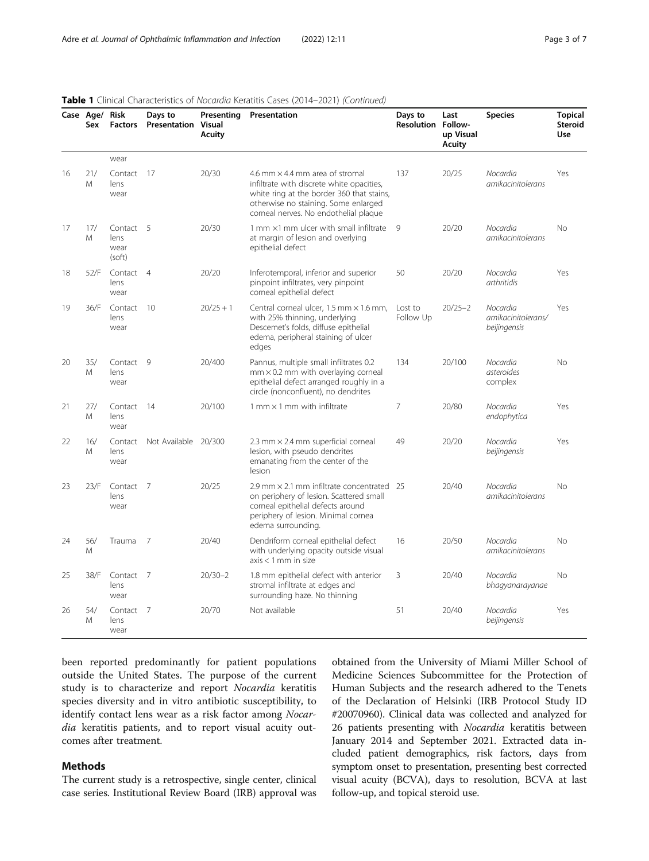|    | Case Age/ Risk<br>Sex | <b>Factors</b>                      | Days to<br><b>Presentation Visual</b> | Presenting<br><b>Acuity</b> | Presentation                                                                                                                                                                                                      | Days to<br><b>Resolution Follow-</b> | Last<br>up Visual<br>Acuity | <b>Species</b>                                 | <b>Topical</b><br><b>Steroid</b><br><b>Use</b> |
|----|-----------------------|-------------------------------------|---------------------------------------|-----------------------------|-------------------------------------------------------------------------------------------------------------------------------------------------------------------------------------------------------------------|--------------------------------------|-----------------------------|------------------------------------------------|------------------------------------------------|
|    |                       | wear                                |                                       |                             |                                                                                                                                                                                                                   |                                      |                             |                                                |                                                |
| 16 | 21/<br>M              | Contact 17<br>lens<br>wear          |                                       | 20/30                       | 4.6 mm $\times$ 4.4 mm area of stromal<br>infiltrate with discrete white opacities,<br>white ring at the border 360 that stains,<br>otherwise no staining. Some enlarged<br>corneal nerves. No endothelial plaque | 137                                  | 20/25                       | Nocardia<br>amikacinitolerans                  | Yes                                            |
| 17 | 17/<br>M              | Contact 5<br>lens<br>wear<br>(soft) |                                       | 20/30                       | 1 mm $\times$ 1 mm ulcer with small infiltrate<br>at margin of lesion and overlying<br>epithelial defect                                                                                                          | 9                                    | 20/20                       | Nocardia<br><i>amikacinitolerans</i>           | <b>No</b>                                      |
| 18 | 52/F                  | Contact 4<br>lens<br>wear           |                                       | 20/20                       | Inferotemporal, inferior and superior<br>pinpoint infiltrates, very pinpoint<br>corneal epithelial defect                                                                                                         | 50                                   | 20/20                       | Nocardia<br>arthritidis                        | Yes                                            |
| 19 | 36/F                  | Contact 10<br>lens<br>wear          |                                       | $20/25 + 1$                 | Central corneal ulcer, 1.5 mm × 1.6 mm,<br>with 25% thinning, underlying<br>Descemet's folds, diffuse epithelial<br>edema, peripheral staining of ulcer<br>edges                                                  | Lost to<br>Follow Up                 | $20/25 - 2$                 | Nocardia<br>amikacinitolerans/<br>beijingensis | Yes                                            |
| 20 | 35/<br>M              | Contact 9<br>lens<br>wear           |                                       | 20/400                      | Pannus, multiple small infiltrates 0.2<br>$mm \times 0.2$ mm with overlaying corneal<br>epithelial defect arranged roughly in a<br>circle (nonconfluent), no dendrites                                            | 134                                  | 20/100                      | Nocardia<br>asteroides<br>complex              | <b>No</b>                                      |
| 21 | 27/<br>Μ              | Contact 14<br>lens<br>wear          |                                       | 20/100                      | $1$ mm $\times$ 1 mm with infiltrate                                                                                                                                                                              | 7                                    | 20/80                       | Nocardia<br>endophytica                        | Yes                                            |
| 22 | 16/<br>M              | Contact<br>lens<br>wear             | Not Available 20/300                  |                             | 2.3 mm × 2.4 mm superficial corneal<br>lesion, with pseudo dendrites<br>emanating from the center of the<br>lesion                                                                                                | 49                                   | 20/20                       | Nocardia<br>beijingensis                       | Yes                                            |
| 23 | 23/F                  | Contact 7<br>lens<br>wear           |                                       | 20/25                       | 2.9 mm $\times$ 2.1 mm infiltrate concentrated 25<br>on periphery of lesion. Scattered small<br>corneal epithelial defects around<br>periphery of lesion. Minimal cornea<br>edema surrounding.                    |                                      | 20/40                       | Nocardia<br>amikacinitolerans                  | <b>No</b>                                      |
| 24 | 56/<br>M              | Trauma                              | 7                                     | 20/40                       | Dendriform corneal epithelial defect<br>with underlying opacity outside visual<br>$axis < 1$ mm in size                                                                                                           | 16                                   | 20/50                       | Nocardia<br>amikacinitolerans                  | <b>No</b>                                      |
| 25 | 38/F                  | Contact 7<br>lens<br>wear           |                                       | $20/30 - 2$                 | 1.8 mm epithelial defect with anterior<br>stromal infiltrate at edges and<br>surrounding haze. No thinning                                                                                                        | 3                                    | 20/40                       | Nocardia<br>bhagyanarayanae                    | No                                             |
| 26 | 54/<br>M              | Contact 7<br>lens<br>wear           |                                       | 20/70                       | Not available                                                                                                                                                                                                     | 51                                   | 20/40                       | Nocardia<br>beijingensis                       | Yes                                            |

#### Table 1 Clinical Characteristics of Nocardia Keratitis Cases (2014–2021) (Continued)

been reported predominantly for patient populations outside the United States. The purpose of the current study is to characterize and report Nocardia keratitis species diversity and in vitro antibiotic susceptibility, to identify contact lens wear as a risk factor among Nocardia keratitis patients, and to report visual acuity outcomes after treatment.

## Methods

The current study is a retrospective, single center, clinical case series. Institutional Review Board (IRB) approval was

obtained from the University of Miami Miller School of Medicine Sciences Subcommittee for the Protection of Human Subjects and the research adhered to the Tenets of the Declaration of Helsinki (IRB Protocol Study ID #20070960). Clinical data was collected and analyzed for 26 patients presenting with *Nocardia* keratitis between January 2014 and September 2021. Extracted data included patient demographics, risk factors, days from symptom onset to presentation, presenting best corrected visual acuity (BCVA), days to resolution, BCVA at last follow-up, and topical steroid use.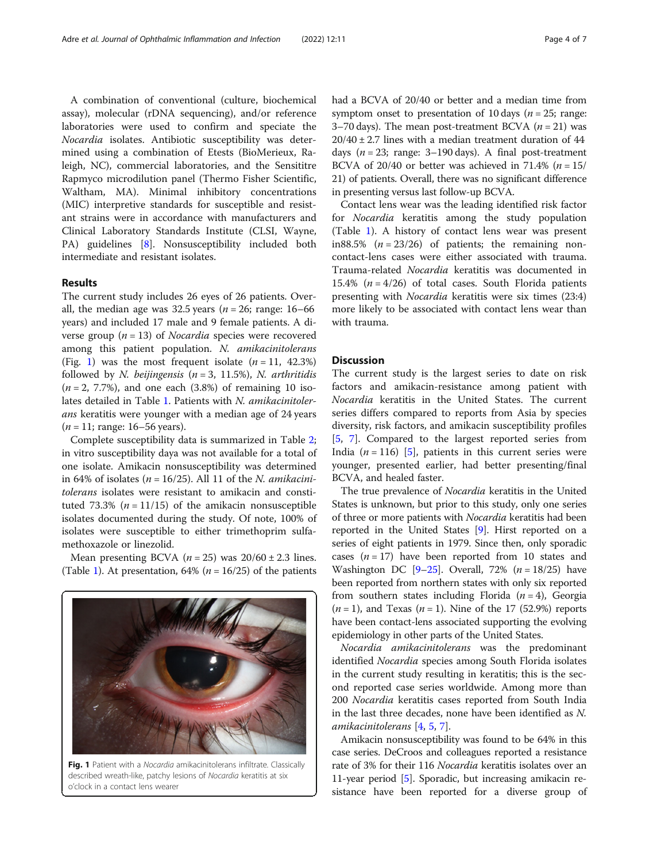A combination of conventional (culture, biochemical assay), molecular (rDNA sequencing), and/or reference laboratories were used to confirm and speciate the Nocardia isolates. Antibiotic susceptibility was determined using a combination of Etests (BioMerieux, Raleigh, NC), commercial laboratories, and the Sensititre Rapmyco microdilution panel (Thermo Fisher Scientific, Waltham, MA). Minimal inhibitory concentrations (MIC) interpretive standards for susceptible and resistant strains were in accordance with manufacturers and Clinical Laboratory Standards Institute (CLSI, Wayne, PA) guidelines [\[8\]](#page-5-0). Nonsusceptibility included both intermediate and resistant isolates.

#### Results

The current study includes 26 eyes of 26 patients. Overall, the median age was 32.5 years ( $n = 26$ ; range: 16–66 years) and included 17 male and 9 female patients. A diverse group ( $n = 13$ ) of *Nocardia* species were recovered among this patient population. N. amikacinitolerans (Fig. 1) was the most frequent isolate  $(n = 11, 42.3\%)$ followed by *N. beijingensis* ( $n = 3, 11.5\%$ ), *N. arthritidis*  $(n = 2, 7.7\%)$ , and one each  $(3.8\%)$  of remaining 10 isolates detailed in Table [1.](#page-1-0) Patients with N. amikacinitolerans keratitis were younger with a median age of 24 years  $(n = 11; \text{ range: } 16 - 56 \text{ years}).$ 

Complete susceptibility data is summarized in Table [2](#page-4-0); in vitro susceptibility daya was not available for a total of one isolate. Amikacin nonsusceptibility was determined in 64% of isolates ( $n = 16/25$ ). All 11 of the *N. amikacini*tolerans isolates were resistant to amikacin and constituted 73.3% ( $n = 11/15$ ) of the amikacin nonsusceptible isolates documented during the study. Of note, 100% of isolates were susceptible to either trimethoprim sulfamethoxazole or linezolid.

Mean presenting BCVA ( $n = 25$ ) was  $20/60 \pm 2.3$  lines. (Table [1](#page-1-0)). At presentation, 64% ( $n = 16/25$ ) of the patients



Fig. 1 Patient with a Nocardia amikacinitolerans infiltrate. Classically described wreath-like, patchy lesions of Nocardia keratitis at six o'clock in a contact lens wearer

had a BCVA of 20/40 or better and a median time from symptom onset to presentation of 10 days ( $n = 25$ ; range: 3–70 days). The mean post-treatment BCVA  $(n = 21)$  was  $20/40 \pm 2.7$  lines with a median treatment duration of 44 days ( $n = 23$ ; range: 3-190 days). A final post-treatment BCVA of 20/40 or better was achieved in 71.4% ( $n = 15/$ 21) of patients. Overall, there was no significant difference in presenting versus last follow-up BCVA.

Contact lens wear was the leading identified risk factor for Nocardia keratitis among the study population (Table [1\)](#page-1-0). A history of contact lens wear was present in88.5%  $(n = 23/26)$  of patients; the remaining noncontact-lens cases were either associated with trauma. Trauma-related Nocardia keratitis was documented in 15.4% ( $n = 4/26$ ) of total cases. South Florida patients presenting with Nocardia keratitis were six times (23:4) more likely to be associated with contact lens wear than with trauma.

### **Discussion**

The current study is the largest series to date on risk factors and amikacin-resistance among patient with Nocardia keratitis in the United States. The current series differs compared to reports from Asia by species diversity, risk factors, and amikacin susceptibility profiles [[5,](#page-5-0) [7\]](#page-5-0). Compared to the largest reported series from India ( $n = 116$ ) [[5\]](#page-5-0), patients in this current series were younger, presented earlier, had better presenting/final BCVA, and healed faster.

The true prevalence of *Nocardia* keratitis in the United States is unknown, but prior to this study, only one series of three or more patients with Nocardia keratitis had been reported in the United States [[9\]](#page-5-0). Hirst reported on a series of eight patients in 1979. Since then, only sporadic cases  $(n = 17)$  have been reported from 10 states and Washington DC  $[9-25]$  $[9-25]$  $[9-25]$ . Overall, 72% ( $n = 18/25$ ) have been reported from northern states with only six reported from southern states including Florida  $(n = 4)$ , Georgia  $(n = 1)$ , and Texas  $(n = 1)$ . Nine of the 17 (52.9%) reports have been contact-lens associated supporting the evolving epidemiology in other parts of the United States.

Nocardia amikacinitolerans was the predominant identified Nocardia species among South Florida isolates in the current study resulting in keratitis; this is the second reported case series worldwide. Among more than 200 Nocardia keratitis cases reported from South India in the last three decades, none have been identified as N. amikacinitolerans [[4,](#page-5-0) [5,](#page-5-0) [7\]](#page-5-0).

Amikacin nonsusceptibility was found to be 64% in this case series. DeCroos and colleagues reported a resistance rate of 3% for their 116 Nocardia keratitis isolates over an 11-year period [[5\]](#page-5-0). Sporadic, but increasing amikacin resistance have been reported for a diverse group of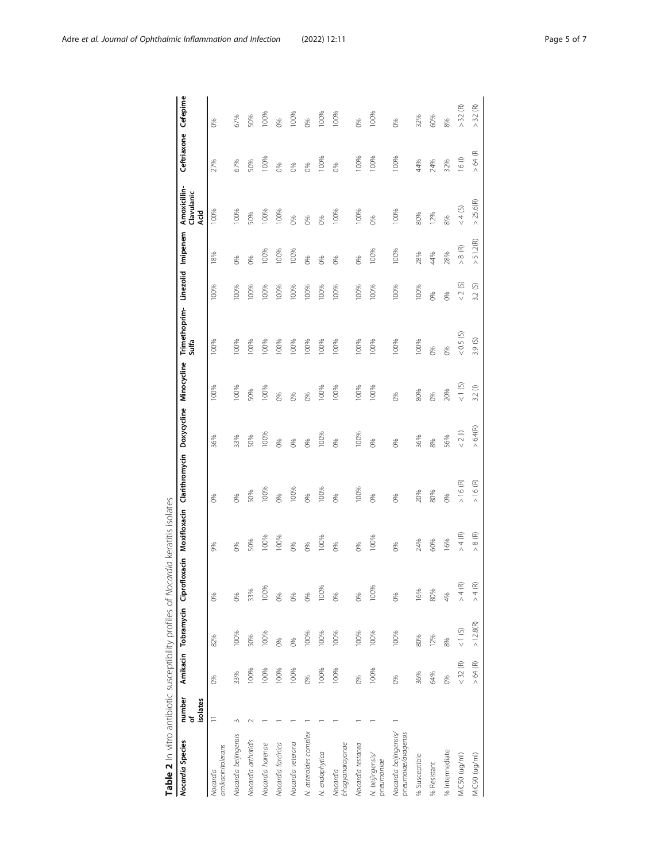<span id="page-4-0"></span>

| Table 2 In vitro antibiotic susceptibility profiles of Nocardia keratitis isolates |                          |            |            |                                   |            |                                         |          |             |                                          |           |                          |                                    |                         |            |
|------------------------------------------------------------------------------------|--------------------------|------------|------------|-----------------------------------|------------|-----------------------------------------|----------|-------------|------------------------------------------|-----------|--------------------------|------------------------------------|-------------------------|------------|
| Nocardia Species                                                                   | number<br>of<br>isolates |            |            | Amikacin Tobramycin Ciprofloxacin |            | Moxifloxacin Clarithromycin Doxycycline |          | Minocycline | Trimethoprim-Linezolid Imipenem<br>Sulfa |           |                          | Amoxicillin-<br>Clavulanic<br>Acid | Ceftriaxone             | Cefepime   |
| amikacinitolerans<br>Nocardia                                                      | $\equiv$                 | 86         | 82%        | 0%                                | 9%         | 8 <sup>6</sup>                          | 36%      | 100%        | 100%                                     | 100%      | 8%                       | 100%                               | 27%                     | 0%         |
| Nocardia beijingensis                                                              |                          | 33%        | 100%       | 0%                                | 0%         | 0%                                      | 33%      | 100%        | 100%                                     | 100%      | 0%                       | 100%                               | 67%                     | 67%        |
| Nocardia arthritidis                                                               |                          | 100%       | 50%        | 33%                               | 50%        | 50%                                     | 50%      | 50%         | 100%                                     | 100%      | 0%                       | 50%                                | 50%                     | 50%        |
| Nocardia harenae                                                                   |                          | 100%       | 100%       | 100%                              | 100%       | 100%                                    | 100%     | 100%        | 100%                                     | 100%      | 100%                     | 100%                               | 100%                    | 100%       |
| Nocardia farcinica                                                                 |                          | 100%       | 0%         | 0%                                | 100%       | 0%                                      | 0%       | 0%          | 100%                                     | 100%      | 100%                     | 100%                               | 0%                      | 0%         |
| Nocardia veterana                                                                  |                          | 100%       | 0%         | 86                                | 8%         | 100%                                    | 8%       | 8%          | 100%                                     | 100%      | 100%                     | 86                                 | 8%                      | 100%       |
| N. asteroides complex                                                              |                          | 86         | 100%       | 0%                                | 0%         | 0%                                      | 0%       | 0%          | 100%                                     | 100%      | 0%                       | 8%                                 | 0%                      | 0%         |
| N. endophytica                                                                     |                          | 100%       | 100%       | 100%                              | 100%       | 100%                                    | 100%     | 100%        | 100%                                     | 100%      | 0%                       | 86                                 | 100%                    | 100%       |
| bhagyanarayanae<br>Nocardia                                                        |                          | 100%       | 100%       | 86                                | 8%         | 0%                                      | 8%       | 100%        | 100%                                     | 100%      | 8%                       | 100%                               | 8%                      | 100%       |
| Nocardia testacea                                                                  |                          | $\infty$   | 100%       | 0%                                | 0%         | 100%                                    | 100%     | 100%        | 100%                                     | 100%      | 0%                       | 100%                               | 100%                    | 0%         |
| N. beijingensis/<br>pneumoniae                                                     |                          | 100%       | 100%       | 100%                              | 100%       | 0%                                      | 0%       | 100%        | 100%                                     | 100%      | 100%                     | 86                                 | 100%                    | 100%       |
| Nocardia beijingensis/<br>pneumoiae/avagensis                                      |                          | 86         | 100%       | 0%                                | 0%         | 0%                                      | 0%       | 0%          | 100%                                     | 100%      | 100%                     | 100%                               | 100%                    | 0%         |
| % Susceptible                                                                      |                          | 36%        | 80%        | 16%                               | 24%        | 20%                                     | 36%      | 80%         | 100%                                     | 100%      | 28%                      | 80%                                | 44%                     | 32%        |
| % Resistant                                                                        |                          | 64%        | 12%        | 80%                               | 60%        | 80%                                     | 8%       | 0%          | 0%                                       | 0%        | 44%                      | 12%                                | 24%                     | 60%        |
| % Intermediate                                                                     |                          | 86         | 8%         | 4%                                | 16%        | 0%                                      | 56%      | 20%         | 6%                                       | 8%        | 28%                      | 8%                                 | 32%                     | 8%         |
| MIC50 (ug/ml)                                                                      |                          | $<$ 32 (R) | 1(S)       | $> 4$ (R)                         | $> 4$ (R)  | $>16$ (R)                               | $< 2(0)$ | (5)         | (5.05)                                   | $< 2$ (S) | 8(R)<br>Λ                | < 4 (S)                            | 16(1)                   | E<br>$>32$ |
| MIC90 (ug/ml)                                                                      |                          | $>64$ (R)  | $>12.8(R)$ | $> 4$ (R)                         | 8 (R)<br>Λ | >16(R)                                  | > 6.4(R) | 3.2(        | 3.9(S)                                   | Ø<br>3.2  | 51.2 <sub>(R)</sub><br>Λ | > 25.6(R)                          | ⋐<br>$\mathcal{Z}$<br>Λ | $>$ 32 (R) |
|                                                                                    |                          |            |            |                                   |            |                                         |          |             |                                          |           |                          |                                    |                         |            |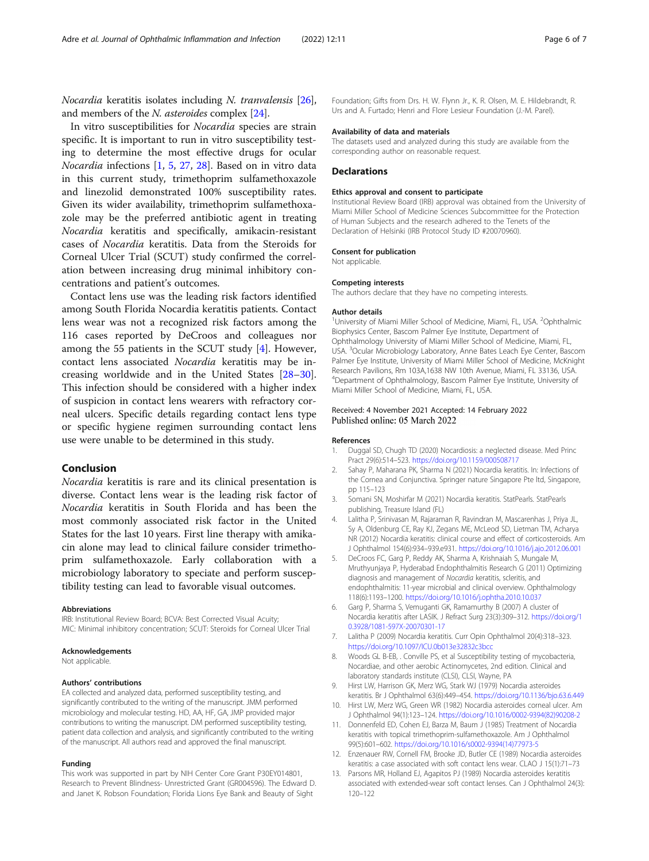<span id="page-5-0"></span>Nocardia keratitis isolates including N. tranvalensis [[26](#page-6-0)], and members of the N. asteroides complex [[24](#page-6-0)].

In vitro susceptibilities for Nocardia species are strain specific. It is important to run in vitro susceptibility testing to determine the most effective drugs for ocular Nocardia infections [1, 5, [27,](#page-6-0) [28](#page-6-0)]. Based on in vitro data in this current study, trimethoprim sulfamethoxazole and linezolid demonstrated 100% susceptibility rates. Given its wider availability, trimethoprim sulfamethoxazole may be the preferred antibiotic agent in treating Nocardia keratitis and specifically, amikacin-resistant cases of Nocardia keratitis. Data from the Steroids for Corneal Ulcer Trial (SCUT) study confirmed the correlation between increasing drug minimal inhibitory concentrations and patient's outcomes.

Contact lens use was the leading risk factors identified among South Florida Nocardia keratitis patients. Contact lens wear was not a recognized risk factors among the 116 cases reported by DeCroos and colleagues nor among the 55 patients in the SCUT study [4]. However, contact lens associated Nocardia keratitis may be increasing worldwide and in the United States [[28](#page-6-0)–[30](#page-6-0)]. This infection should be considered with a higher index of suspicion in contact lens wearers with refractory corneal ulcers. Specific details regarding contact lens type or specific hygiene regimen surrounding contact lens use were unable to be determined in this study.

## Conclusion

Nocardia keratitis is rare and its clinical presentation is diverse. Contact lens wear is the leading risk factor of Nocardia keratitis in South Florida and has been the most commonly associated risk factor in the United States for the last 10 years. First line therapy with amikacin alone may lead to clinical failure consider trimethoprim sulfamethoxazole. Early collaboration with a microbiology laboratory to speciate and perform susceptibility testing can lead to favorable visual outcomes.

#### Abbreviations

IRB: Institutional Review Board; BCVA: Best Corrected Visual Acuity; MIC: Minimal inhibitory concentration; SCUT: Steroids for Corneal Ulcer Trial

#### Acknowledgements

Not applicable.

#### Authors' contributions

EA collected and analyzed data, performed susceptibility testing, and significantly contributed to the writing of the manuscript. JMM performed microbiology and molecular testing. HD, AA, HF, GA, JMP provided major contributions to writing the manuscript. DM performed susceptibility testing, patient data collection and analysis, and significantly contributed to the writing of the manuscript. All authors read and approved the final manuscript.

#### Funding

This work was supported in part by NIH Center Core Grant P30EY014801, Research to Prevent Blindness- Unrestricted Grant (GR004596). The Edward D. and Janet K. Robson Foundation; Florida Lions Eye Bank and Beauty of Sight

Foundation; Gifts from Drs. H. W. Flynn Jr., K. R. Olsen, M. E. Hildebrandt, R. Urs and A. Furtado; Henri and Flore Lesieur Foundation (J.-M. Parel).

#### Availability of data and materials

The datasets used and analyzed during this study are available from the corresponding author on reasonable request.

#### **Declarations**

#### Ethics approval and consent to participate

Institutional Review Board (IRB) approval was obtained from the University of Miami Miller School of Medicine Sciences Subcommittee for the Protection of Human Subjects and the research adhered to the Tenets of the Declaration of Helsinki (IRB Protocol Study ID #20070960).

#### Consent for publication

Not applicable.

#### Competing interests

The authors declare that they have no competing interests.

#### Author details

<sup>1</sup> University of Miami Miller School of Medicine, Miami, FL, USA. <sup>2</sup>Ophthalmic Biophysics Center, Bascom Palmer Eye Institute, Department of Ophthalmology University of Miami Miller School of Medicine, Miami, FL, USA. <sup>3</sup>Ocular Microbiology Laboratory, Anne Bates Leach Eye Center, Bascom Palmer Eye Institute, University of Miami Miller School of Medicine, McKnight Research Pavilions, Rm 103A,1638 NW 10th Avenue, Miami, FL 33136, USA. 4 Department of Ophthalmology, Bascom Palmer Eye Institute, University of Miami Miller School of Medicine, Miami, FL, USA.

#### Received: 4 November 2021 Accepted: 14 February 2022 Published online: 05 March 2022

#### References

- 1. Duggal SD, Chugh TD (2020) Nocardiosis: a neglected disease. Med Princ Pract 29(6):514–523. <https://doi.org/10.1159/000508717>
- 2. Sahay P, Maharana PK, Sharma N (2021) Nocardia keratitis. In: Infections of the Cornea and Conjunctiva. Springer nature Singapore Pte ltd, Singapore, pp 115–123
- 3. Somani SN, Moshirfar M (2021) Nocardia keratitis. StatPearls. StatPearls publishing, Treasure Island (FL)
- 4. Lalitha P, Srinivasan M, Rajaraman R, Ravindran M, Mascarenhas J, Priya JL, Sy A, Oldenburg CE, Ray KJ, Zegans ME, McLeod SD, Lietman TM, Acharya NR (2012) Nocardia keratitis: clinical course and effect of corticosteroids. Am J Ophthalmol 154(6):934–939.e931. <https://doi.org/10.1016/j.ajo.2012.06.001>
- 5. DeCroos FC, Garg P, Reddy AK, Sharma A, Krishnaiah S, Mungale M, Mruthyunjaya P, Hyderabad Endophthalmitis Research G (2011) Optimizing diagnosis and management of Nocardia keratitis, scleritis, and endophthalmitis: 11-year microbial and clinical overview. Ophthalmology 118(6):1193–1200. <https://doi.org/10.1016/j.ophtha.2010.10.037>
- 6. Garg P, Sharma S, Vemuganti GK, Ramamurthy B (2007) A cluster of Nocardia keratitis after LASIK. J Refract Surg 23(3):309–312. [https://doi.org/1](https://doi.org/10.3928/1081-597X-20070301-17) [0.3928/1081-597X-20070301-17](https://doi.org/10.3928/1081-597X-20070301-17)
- 7. Lalitha P (2009) Nocardia keratitis. Curr Opin Ophthalmol 20(4):318–323. <https://doi.org/10.1097/ICU.0b013e32832c3bcc>
- 8. Woods GL B-EB, . Conville PS, et al Susceptibility testing of mycobacteria, Nocardiae, and other aerobic Actinomycetes, 2nd edition. Clinical and laboratory standards institute (CLSI), CLSI, Wayne, PA
- 9. Hirst LW, Harrison GK, Merz WG, Stark WJ (1979) Nocardia asteroides keratitis. Br J Ophthalmol 63(6):449–454. <https://doi.org/10.1136/bjo.63.6.449>
- 10. Hirst LW, Merz WG, Green WR (1982) Nocardia asteroides corneal ulcer. Am J Ophthalmol 94(1):123–124. [https://doi.org/10.1016/0002-9394\(82\)90208-2](https://doi.org/10.1016/0002-9394(82)90208-2)
- 11. Donnenfeld ED, Cohen EJ, Barza M, Baum J (1985) Treatment of Nocardia keratitis with topical trimethoprim-sulfamethoxazole. Am J Ophthalmol 99(5):601–602. [https://doi.org/10.1016/s0002-9394\(14\)77973-5](https://doi.org/10.1016/s0002-9394(14)77973-5)
- 12. Enzenauer RW, Cornell FM, Brooke JD, Butler CE (1989) Nocardia asteroides keratitis: a case associated with soft contact lens wear. CLAO J 15(1):71–73
- 13. Parsons MR, Holland EJ, Agapitos PJ (1989) Nocardia asteroides keratitis associated with extended-wear soft contact lenses. Can J Ophthalmol 24(3): 120–122